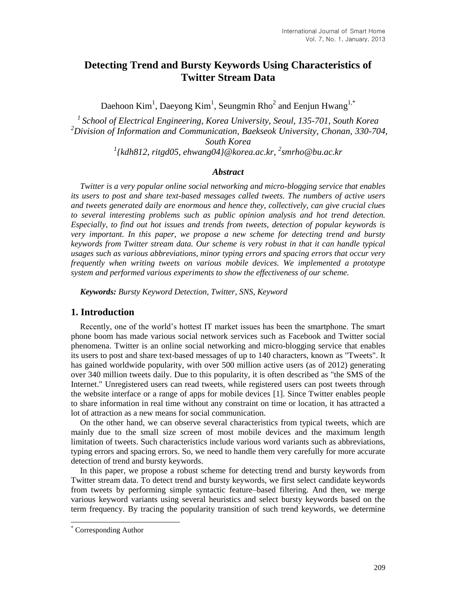# **Detecting Trend and Bursty Keywords Using Characteristics of Twitter Stream Data**

Daehoon Kim<sup>1</sup>, Daeyong Kim<sup>1</sup>, Seungmin Rho<sup>2</sup> and Eenjun Hwang<sup>1,\*</sup>

*School of Electrical Engineering, Korea University, Seoul, 135-701, South Korea Division of Information and Communication, Baekseok University, Chonan, 330-704, South Korea {kdh812, ritgd05, ehwang04}@korea.ac.kr, <sup>2</sup> [smrho@bu.ac.kr](mailto:smrho@bu.ac.kr)*

#### *Abstract*

*Twitter is a very popular online social networking and micro-blogging service that enables its users to post and share text-based messages called tweets. The numbers of active users and tweets generated daily are enormous and hence they, collectively, can give crucial clues to several interesting problems such as public opinion analysis and hot trend detection. Especially, to find out hot issues and trends from tweets, detection of popular keywords is very important. In this paper, we propose a new scheme for detecting trend and bursty keywords from Twitter stream data. Our scheme is very robust in that it can handle typical usages such as various abbreviations, minor typing errors and spacing errors that occur very frequently when writing tweets on various mobile devices. We implemented a prototype system and performed various experiments to show the effectiveness of our scheme.*

*Keywords: Bursty Keyword Detection, Twitter, SNS, Keyword*

# **1. Introduction**

Recently, one of the world's hottest IT market issues has been the smartphone. The smart phone boom has made various social network services such as Facebook and Twitter social phenomena. Twitter is an online social networking and micro-blogging service that enables its users to post and share text-based messages of up to 140 characters, known as "Tweets". It has gained worldwide popularity, with over 500 million active users (as of 2012) generating over 340 million tweets daily. Due to this popularity, it is often described as "the SMS of the Internet." Unregistered users can read tweets, while registered users can post tweets through the website interface or a range of apps for mobile devices [1]. Since Twitter enables people to share information in real time without any constraint on time or location, it has attracted a lot of attraction as a new means for social communication.

On the other hand, we can observe several characteristics from typical tweets, which are mainly due to the small size screen of most mobile devices and the maximum length limitation of tweets. Such characteristics include various word variants such as abbreviations, typing errors and spacing errors. So, we need to handle them very carefully for more accurate detection of trend and bursty keywords.

In this paper, we propose a robust scheme for detecting trend and bursty keywords from Twitter stream data. To detect trend and bursty keywords, we first select candidate keywords from tweets by performing simple syntactic feature–based filtering. And then, we merge various keyword variants using several heuristics and select bursty keywords based on the term frequency. By tracing the popularity transition of such trend keywords, we determine

l

Corresponding Author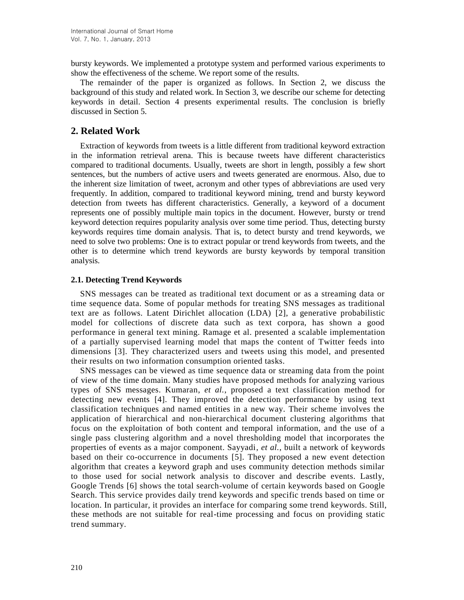bursty keywords. We implemented a prototype system and performed various experiments to show the effectiveness of the scheme. We report some of the results.

The remainder of the paper is organized as follows. In Section 2, we discuss the background of this study and related work. In Section 3, we describe our scheme for detecting keywords in detail. Section 4 presents experimental results. The conclusion is briefly discussed in Section 5.

# **2. Related Work**

Extraction of keywords from tweets is a little different from traditional keyword extraction in the information retrieval arena. This is because tweets have different characteristics compared to traditional documents. Usually, tweets are short in length, possibly a few short sentences, but the numbers of active users and tweets generated are enormous. Also, due to the inherent size limitation of tweet, acronym and other types of abbreviations are used very frequently. In addition, compared to traditional keyword mining, trend and bursty keyword detection from tweets has different characteristics. Generally, a keyword of a document represents one of possibly multiple main topics in the document. However, bursty or trend keyword detection requires popularity analysis over some time period. Thus, detecting bursty keywords requires time domain analysis. That is, to detect bursty and trend keywords, we need to solve two problems: One is to extract popular or trend keywords from tweets, and the other is to determine which trend keywords are bursty keywords by temporal transition analysis.

#### **2.1. Detecting Trend Keywords**

SNS messages can be treated as traditional text document or as a streaming data or time sequence data. Some of popular methods for treating SNS messages as traditional text are as follows. Latent Dirichlet allocation (LDA) [2], a generative probabilistic model for collections of discrete data such as text corpora, has shown a good performance in general text mining. Ramage et al. presented a scalable implementation of a partially supervised learning model that maps the content of Twitter feeds into dimensions [3]. They characterized users and tweets using this model, and presented their results on two information consumption oriented tasks.

SNS messages can be viewed as time sequence data or streaming data from the point of view of the time domain. Many studies have proposed methods for analyzing various types of SNS messages. Kumaran, *et al.*, proposed a text classification method for detecting new events [4]. They improved the detection performance by using text classification techniques and named entities in a new way. Their scheme involves the application of hierarchical and non-hierarchical document clustering algorithms that focus on the exploitation of both content and temporal information, and the use of a single pass clustering algorithm and a novel thresholding model that incorporates the properties of events as a major component. Sayyadi, *et al.*, built a network of keywords based on their co-occurrence in documents [5]. They proposed a new event detection algorithm that creates a keyword graph and uses community detection methods similar to those used for social network analysis to discover and describe events. Lastly, Google Trends [6] shows the total search-volume of certain keywords based on Google Search. This service provides daily trend keywords and specific trends based on time or location. In particular, it provides an interface for comparing some trend keywords. Still, these methods are not suitable for real-time processing and focus on providing static trend summary.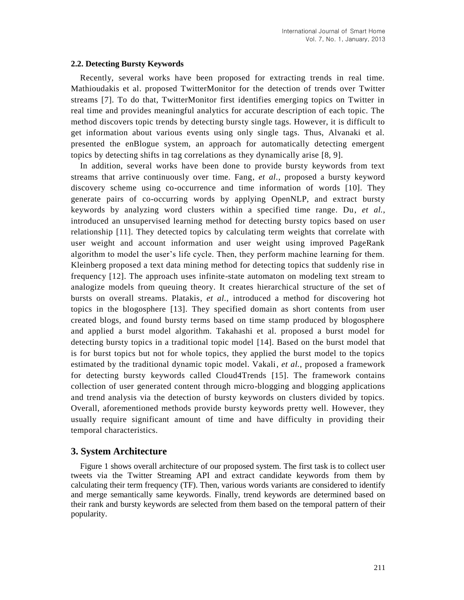#### **2.2. Detecting Bursty Keywords**

Recently, several works have been proposed for extracting trends in real time. Mathioudakis et al. proposed TwitterMonitor for the detection of trends over Twitter streams [7]. To do that, TwitterMonitor first identifies emerging topics on Twitter in real time and provides meaningful analytics for accurate description of each topic. The method discovers topic trends by detecting bursty single tags. However, it is difficult to get information about various events using only single tags. Thus, Alvanaki et al. presented the enBlogue system, an approach for automatically detecting emergent topics by detecting shifts in tag correlations as they dynamically arise [8, 9].

In addition, several works have been done to provide bursty keywords from text streams that arrive continuously over time. Fang, *et al.*, proposed a bursty keyword discovery scheme using co-occurrence and time information of words [10]. They generate pairs of co-occurring words by applying OpenNLP, and extract bursty keywords by analyzing word clusters within a specified time range. Du, *et al.*, introduced an unsupervised learning method for detecting bursty topics based on user relationship [11]. They detected topics by calculating term weights that correlate with user weight and account information and user weight using improved PageRank algorithm to model the user's life cycle. Then, they perform machine learning for them. Kleinberg proposed a text data mining method for detecting topics that suddenly rise in frequency [12]. The approach uses infinite-state automaton on modeling text stream to analogize models from queuing theory. It creates hierarchical structure of the set of bursts on overall streams. Platakis, *et al.*, introduced a method for discovering hot topics in the blogosphere [13]. They specified domain as short contents from user created blogs, and found bursty terms based on time stamp produced by blogosphere and applied a burst model algorithm. Takahashi et al. proposed a burst model for detecting bursty topics in a traditional topic model [14]. Based on the burst model that is for burst topics but not for whole topics, they applied the burst model to the topics estimated by the traditional dynamic topic model. Vakali, *et al.*, proposed a framework for detecting bursty keywords called Cloud4Trends [15]. The framework contains collection of user generated content through micro-blogging and blogging applications and trend analysis via the detection of bursty keywords on clusters divided by topics. Overall, aforementioned methods provide bursty keywords pretty well. However, they usually require significant amount of time and have difficulty in providing their temporal characteristics.

# **3. System Architecture**

Figure 1 shows overall architecture of our proposed system. The first task is to collect user tweets via the Twitter Streaming API and extract candidate keywords from them by calculating their term frequency (TF). Then, various words variants are considered to identify and merge semantically same keywords. Finally, trend keywords are determined based on their rank and bursty keywords are selected from them based on the temporal pattern of their popularity.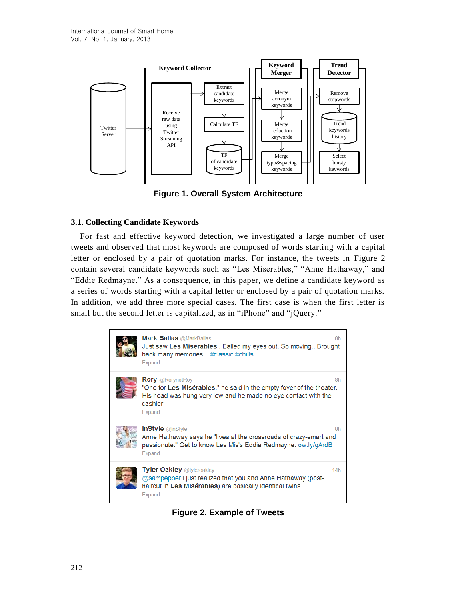

**Figure 1. Overall System Architecture**

# **3.1. Collecting Candidate Keywords**

For fast and effective keyword detection, we investigated a large number of user tweets and observed that most keywords are composed of words starting with a capital letter or enclosed by a pair of quotation marks. For instance, the tweets in Figure 2 contain several candidate keywords such as "Les Miserables," "Anne Hathaway," and "Eddie Redmayne." As a consequence, in this paper, we define a candidate keyword as a series of words starting with a capital letter or enclosed by a pair of quotation marks. In addition, we add three more special cases. The first case is when the first letter is small but the second letter is capitalized, as in "iPhone" and "jQuery."



**Figure 2. Example of Tweets**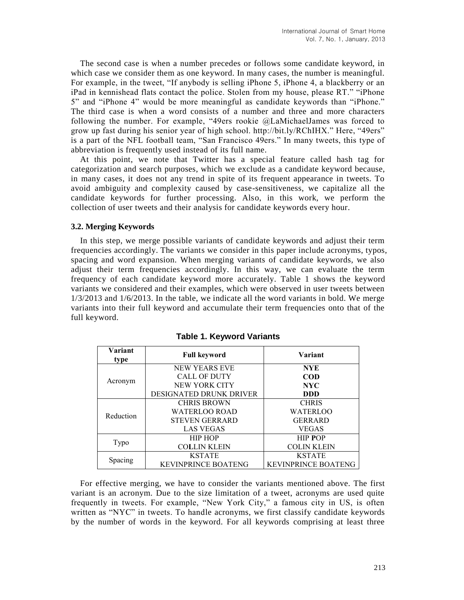The second case is when a number precedes or follows some candidate keyword, in which case we consider them as one keyword. In many cases, the number is meaningful. For example, in the tweet, "If anybody is selling iPhone 5, iPhone 4, a blackberry or an iPad in kennishead flats contact the police. Stolen from my house, please RT." "iPhone 5" and "iPhone 4" would be more meaningful as candidate keywords than "iPhone." The third case is when a word consists of a number and three and more characters following the number. For example, "49ers rookie @LaMichaelJames was forced to grow up fast during his senior year of high school. http://bit.ly/RChIHX." Here, "49ers" is a part of the NFL football team, "San Francisco 49ers." In many tweets, this type of abbreviation is frequently used instead of its full name.

At this point, we note that Twitter has a special feature called hash tag for categorization and search purposes, which we exclude as a candidate keyword because, in many cases, it does not any trend in spite of its frequent appearance in tweets. To avoid ambiguity and complexity caused by case-sensitiveness, we capitalize all the candidate keywords for further processing. Also, in this work, we perform the collection of user tweets and their analysis for candidate keywords every hour.

#### **3.2. Merging Keywords**

In this step, we merge possible variants of candidate keywords and adjust their term frequencies accordingly. The variants we consider in this paper include acronyms, typos, spacing and word expansion. When merging variants of candidate keywords, we also adjust their term frequencies accordingly. In this way, we can evaluate the term frequency of each candidate keyword more accurately. Table 1 shows the keyword variants we considered and their examples, which were observed in user tweets between 1/3/2013 and 1/6/2013. In the table, we indicate all the word variants in bold. We merge variants into their full keyword and accumulate their term frequencies onto that of the full keyword.

| Variant<br>type | <b>Full keyword</b>            | Variant                    |  |  |  |  |
|-----------------|--------------------------------|----------------------------|--|--|--|--|
|                 | <b>NEW YEARS EVE</b>           | <b>NYE</b>                 |  |  |  |  |
|                 | <b>CALL OF DUTY</b>            | <b>COD</b>                 |  |  |  |  |
| Acronym         | NEW YORK CITY                  | <b>NYC</b>                 |  |  |  |  |
|                 | <b>DESIGNATED DRUNK DRIVER</b> | <b>DDD</b>                 |  |  |  |  |
|                 | <b>CHRIS BROWN</b>             | <b>CHRIS</b>               |  |  |  |  |
| Reduction       | <b>WATERLOO ROAD</b>           | WATERLOO                   |  |  |  |  |
|                 | <b>STEVEN GERRARD</b>          | <b>GERRARD</b>             |  |  |  |  |
|                 | <b>LAS VEGAS</b>               | <b>VEGAS</b>               |  |  |  |  |
|                 | <b>HIP HOP</b>                 | <b>HIP POP</b>             |  |  |  |  |
| Typo            | <b>COLLIN KLEIN</b>            | <b>COLIN KLEIN</b>         |  |  |  |  |
|                 | <b>KSTATE</b>                  | <b>KSTATE</b>              |  |  |  |  |
| Spacing         | <b>KEVINPRINCE BOATENG</b>     | <b>KEVINPRINCE BOATENG</b> |  |  |  |  |

**Table 1. Keyword Variants**

For effective merging, we have to consider the variants mentioned above. The first variant is an acronym. Due to the size limitation of a tweet, acronyms are used quite frequently in tweets. For example, "New York City," a famous city in US, is often written as "NYC" in tweets. To handle acronyms, we first classify candidate keywords by the number of words in the keyword. For all keywords comprising at least three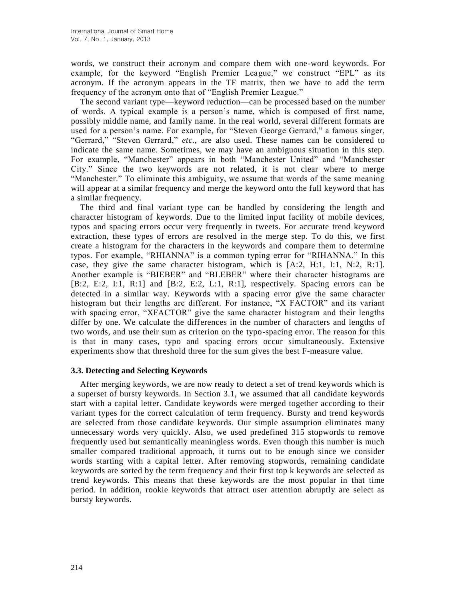words, we construct their acronym and compare them with one-word keywords. For example, for the keyword "English Premier League," we construct "EPL" as its acronym. If the acronym appears in the TF matrix, then we have to add the term frequency of the acronym onto that of "English Premier League."

The second variant type—keyword reduction—can be processed based on the number of words. A typical example is a person's name, which is composed of first name, possibly middle name, and family name. In the real world, several different formats are used for a person's name. For example, for "Steven George Gerrard," a famous singer, "Gerrard," "Steven Gerrard," *etc.*, are also used. These names can be considered to indicate the same name. Sometimes, we may have an ambiguous situation in this step. For example, "Manchester" appears in both "Manchester United" and "Manchester City." Since the two keywords are not related, it is not clear where to merge "Manchester." To eliminate this ambiguity, we assume that words of the same meaning will appear at a similar frequency and merge the keyword onto the full keyword that has a similar frequency.

The third and final variant type can be handled by considering the length and character histogram of keywords. Due to the limited input facility of mobile devices, typos and spacing errors occur very frequently in tweets. For accurate trend keyword extraction, these types of errors are resolved in the merge step. To do this, we first create a histogram for the characters in the keywords and compare them to determine typos. For example, "RHIANNA" is a common typing error for "RIHANNA." In this case, they give the same character histogram, which is  $[A:2, H:1, I:1, N:2, R:1]$ . Another example is "BIEBER" and "BLEBER" where their character histograms are [B:2, E:2, I:1, R:1] and [B:2, E:2, L:1, R:1], respectively. Spacing errors can be detected in a similar way. Keywords with a spacing error give the same character histogram but their lengths are different. For instance, "X FACTOR" and its variant with spacing error, "XFACTOR" give the same character histogram and their lengths differ by one. We calculate the differences in the number of characters and lengths of two words, and use their sum as criterion on the typo-spacing error. The reason for this is that in many cases, typo and spacing errors occur simultaneously. Extensive experiments show that threshold three for the sum gives the best F-measure value.

#### **3.3. Detecting and Selecting Keywords**

After merging keywords, we are now ready to detect a set of trend keywords which is a superset of bursty keywords. In Section 3.1, we assumed that all candidate keywords start with a capital letter. Candidate keywords were merged together according to their variant types for the correct calculation of term frequency. Bursty and trend keywords are selected from those candidate keywords. Our simple assumption eliminates many unnecessary words very quickly. Also, we used predefined 315 stopwords to remove frequently used but semantically meaningless words. Even though this number is much smaller compared traditional approach, it turns out to be enough since we consider words starting with a capital letter. After removing stopwords, remaining candidate keywords are sorted by the term frequency and their first top k keywords are selected as trend keywords. This means that these keywords are the most popular in that time period. In addition, rookie keywords that attract user attention abruptly are select as bursty keywords.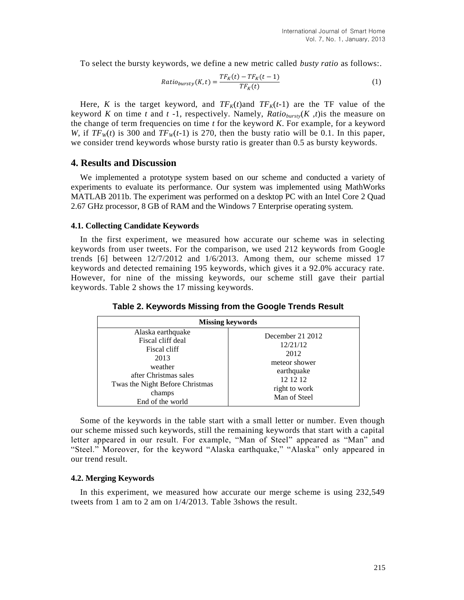To select the bursty keywords, we define a new metric called *busty ratio* as follows:.

$$
Ratio_{bursty}(K, t) = \frac{TF_K(t) - TF_K(t-1)}{TF_K(t)}
$$
\n<sup>(1)</sup>

Here, *K* is the target keyword, and  $TF_K(t)$  and  $TF_K(t-1)$  are the TF value of the keyword *K* on time *t* and *t* -1, respectively. Namely,  $Ratio_{bursty}(K, t)$  is the measure on the change of term frequencies on time *t* for the keyword *K*. For example, for a keyword *W*, if  $TF<sub>W</sub>(t)$  is 300 and  $TF<sub>W</sub>(t-1)$  is 270, then the busty ratio will be 0.1. In this paper, we consider trend keywords whose bursty ratio is greater than 0.5 as bursty keywords.

### **4. Results and Discussion**

We implemented a prototype system based on our scheme and conducted a variety of experiments to evaluate its performance. Our system was implemented using MathWorks MATLAB 2011b. The experiment was performed on a desktop PC with an Intel Core 2 Quad 2.67 GHz processor, 8 GB of RAM and the Windows 7 Enterprise operating system.

#### **4.1. Collecting Candidate Keywords**

In the first experiment, we measured how accurate our scheme was in selecting keywords from user tweets. For the comparison, we used 212 keywords from Google trends [\[6\]](#page-10-0) between 12/7/2012 and 1/6/2013. Among them, our scheme missed 17 keywords and detected remaining 195 keywords, which gives it a 92.0% accuracy rate. However, for nine of the missing keywords, our scheme still gave their partial keywords. Table 2 shows the 17 missing keywords.

**Table 2. Keywords Missing from the Google Trends Result**

| <b>Missing keywords</b>                                                                                                                                             |                                                                                                                  |  |  |  |  |  |  |  |
|---------------------------------------------------------------------------------------------------------------------------------------------------------------------|------------------------------------------------------------------------------------------------------------------|--|--|--|--|--|--|--|
| Alaska earthquake<br>Fiscal cliff deal<br>Fiscal cliff<br>2013<br>weather<br>after Christmas sales<br>Twas the Night Before Christmas<br>champs<br>End of the world | December 21 2012<br>12/21/12<br>2012<br>meteor shower<br>earthquake<br>12 12 12<br>right to work<br>Man of Steel |  |  |  |  |  |  |  |

Some of the keywords in the table start with a small letter or number. Even though our scheme missed such keywords, still the remaining keywords that start with a capital letter appeared in our result. For example, "Man of Steel" appeared as "Man" and "Steel." Moreover, for the keyword "Alaska earthquake," "Alaska" only appeared in our trend result.

### **4.2. Merging Keywords**

In this experiment, we measured how accurate our merge scheme is using 232,549 tweets from 1 am to 2 am on 1/4/2013. Table 3shows the result.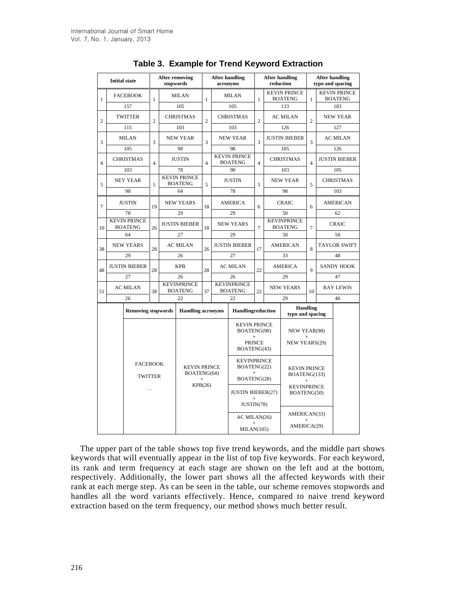| <b>Initial state</b> |                 |                                       | <b>After removing</b><br>stopwords |                          | <b>After handling</b><br>acronyms          |                     | <b>After handling</b><br>reduction         |                                                                           |                                   | <b>After handling</b><br>typo and spacing |                                       |                |                                       |  |
|----------------------|-----------------|---------------------------------------|------------------------------------|--------------------------|--------------------------------------------|---------------------|--------------------------------------------|---------------------------------------------------------------------------|-----------------------------------|-------------------------------------------|---------------------------------------|----------------|---------------------------------------|--|
| $\mathbf{1}$         |                 | <b>FACEBOOK</b>                       | $\mathbf{1}$                       |                          | <b>MILAN</b><br>$\mathbf{1}$<br>105        |                     |                                            | <b>MILAN</b>                                                              | $\mathbf{1}$                      |                                           | <b>KEVIN PRINCE</b><br><b>BOATENG</b> |                | <b>KEVIN PRINCE</b><br><b>BOATENG</b> |  |
|                      |                 | 157                                   |                                    |                          |                                            |                     |                                            | 105                                                                       |                                   |                                           | 133                                   |                | 183                                   |  |
| $\overline{c}$       |                 | <b>TWITTER</b>                        | $\overline{c}$                     |                          | <b>CHRISTMAS</b>                           | $\overline{c}$      |                                            | <b>CHRISTMAS</b>                                                          | $\overline{c}$                    |                                           | <b>AC MILAN</b>                       | $\overline{c}$ | <b>NEW YEAR</b>                       |  |
|                      | 115             |                                       |                                    |                          | 103                                        |                     |                                            | 103                                                                       |                                   |                                           | 126                                   |                | 127                                   |  |
| 3                    |                 | <b>MILAN</b>                          | 3                                  |                          | <b>NEW YEAR</b><br>3                       |                     |                                            | <b>NEW YEAR</b>                                                           | 3                                 | <b>JUSTIN BIEBER</b>                      |                                       | 3              | <b>AC MILAN</b>                       |  |
|                      |                 | 105                                   |                                    |                          | 98                                         |                     |                                            | 98                                                                        |                                   | 105                                       |                                       |                | 126                                   |  |
| $\overline{4}$       |                 | <b>CHRISTMAS</b>                      | $\overline{4}$                     |                          | <b>JUSTIN</b><br>$\overline{4}$            |                     |                                            | <b>KEVIN PRINCE</b><br><b>BOATENG</b>                                     | $\overline{4}$                    | <b>CHRISTMAS</b>                          |                                       | $\overline{4}$ | <b>JUSTIN BIEBER</b>                  |  |
|                      |                 | 103                                   |                                    |                          | 78                                         |                     | 90                                         |                                                                           |                                   | 103                                       |                                       |                | 105                                   |  |
| 5                    |                 | <b>NEY YEAR</b>                       | 5                                  |                          | <b>KEVIN PRINCE</b><br><b>BOATENG</b>      | 5                   |                                            | <b>JUSTIN</b>                                                             | 5                                 | <b>NEW YEAR</b>                           |                                       | 5              | <b>CHRISTMAS</b>                      |  |
|                      |                 | 98                                    |                                    |                          | 64                                         |                     |                                            | 78                                                                        |                                   |                                           | 98                                    |                | 103                                   |  |
| $\overline{7}$       |                 | <b>JUSTIN</b>                         | 19                                 |                          | <b>NEW YEARS</b><br>18                     |                     |                                            | <b>AMERICA</b>                                                            | 6                                 |                                           | <b>CRAIC</b>                          |                | <b>AMERICAN</b>                       |  |
|                      |                 | 78                                    |                                    |                          | 29                                         |                     |                                            | 29                                                                        |                                   |                                           | 50                                    |                | 62                                    |  |
| 10                   |                 | <b>KEVIN PRINCE</b><br><b>BOATENG</b> | 26                                 |                          | <b>JUSTIN BIEBER</b>                       | 18                  |                                            | <b>NEW YEARS</b>                                                          | $\overline{7}$                    |                                           | <b>KEVINPRINCE</b><br><b>BOATENG</b>  | $\overline{7}$ | <b>CRAIC</b>                          |  |
|                      | 64              |                                       |                                    |                          | 27                                         |                     |                                            | 29                                                                        |                                   |                                           | 50                                    |                | 50                                    |  |
| 38                   |                 | <b>NEW YEARS</b>                      |                                    |                          | <b>AC MILAN</b>                            | 26                  | <b>JUSTIN BIEBER</b>                       |                                                                           | 17                                | <b>AMERICAN</b>                           |                                       | $\mathbf{8}$   | <b>TAYLOR SWIFT</b>                   |  |
|                      | 29              |                                       | 28                                 |                          | 26                                         |                     |                                            | 27                                                                        |                                   | 33                                        |                                       |                | 48                                    |  |
| 48                   |                 | <b>JUSTIN BIEBER</b><br>27            |                                    |                          | <b>KPB</b>                                 | 28                  |                                            | <b>AC MILAN</b><br>22                                                     |                                   |                                           | <b>AMERICA</b>                        | $\overline{Q}$ | <b>SANDY HOOK</b>                     |  |
|                      |                 |                                       |                                    |                          | 26                                         |                     | 26<br><b>KEVINPRINCE</b><br><b>BOATENG</b> |                                                                           |                                   | 29                                        |                                       |                | 47                                    |  |
| 51                   |                 | <b>AC MILAN</b>                       | 38                                 |                          | <b>KEVINPRINCE</b><br><b>BOATENG</b><br>37 |                     |                                            |                                                                           | 22                                | <b>NEW YEARS</b>                          |                                       | 10             | <b>RAY LEWIS</b>                      |  |
|                      |                 | 26                                    |                                    |                          | 22                                         |                     | 22                                         |                                                                           |                                   |                                           | 29                                    |                | 46                                    |  |
|                      |                 | <b>Removing stopwords</b>             |                                    | <b>Handling acronyms</b> |                                            |                     |                                            | <b>Handlingreduction</b>                                                  |                                   | <b>Handling</b><br>typo and spacing       |                                       |                |                                       |  |
|                      |                 |                                       |                                    |                          |                                            |                     |                                            | <b>KEVIN PRINCE</b><br>BOATENG(90)<br>$+$<br><b>PRINCE</b><br>BOATENG(43) |                                   |                                           | NEW YEAR(98)<br>$\ddot{}$             |                |                                       |  |
|                      |                 |                                       |                                    |                          |                                            |                     |                                            |                                                                           |                                   | <b>NEW YEARS(29)</b>                      |                                       |                |                                       |  |
|                      | <b>FACEBOOK</b> |                                       |                                    |                          |                                            | <b>KEVIN PRINCE</b> |                                            | <b>KEVINPRINCE</b><br>BOATENG(22)                                         |                                   | <b>KEVIN PRINCE</b>                       |                                       |                |                                       |  |
|                      | <b>TWITTER</b>  |                                       |                                    |                          | BOATENG(64)<br>$\ddot{}$                   |                     |                                            | $+$<br>BOATENG(28)                                                        |                                   | BOATENG(133)<br>$\ddot{}$                 |                                       |                |                                       |  |
|                      |                 | $\cdots$                              |                                    |                          | KPB(26)                                    |                     | <b>JUSTIN BIEBER(27)</b>                   |                                                                           | <b>KEVINPRINCE</b><br>BOATENG(50) |                                           |                                       |                |                                       |  |
|                      |                 |                                       |                                    |                          |                                            |                     |                                            | $^{+}$<br>JUSTIN(78)                                                      |                                   |                                           |                                       |                |                                       |  |
|                      |                 |                                       |                                    |                          |                                            |                     |                                            |                                                                           | AC MILAN(26)                      |                                           | AMERICAN(33)                          |                |                                       |  |
|                      |                 |                                       |                                    |                          |                                            |                     |                                            |                                                                           | $^{+}$<br>MILAN(105)              |                                           | AMERICA(29)                           |                |                                       |  |

The upper part of the table shows top five trend keywords, and the middle part shows keywords that will eventually appear in the list of top five keywords. For each keyword, its rank and term frequency at each stage are shown on the left and at the bottom, respectively. Additionally, the lower part shows all the affected keywords with their rank at each merge step. As can be seen in the table, our scheme removes stopwords and handles all the word variants effectively. Hence, compared to naive trend keyword extraction based on the term frequency, our method shows much better result.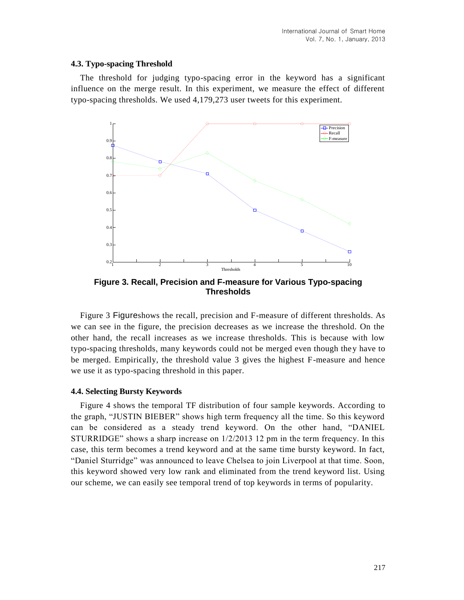#### **4.3. Typo-spacing Threshold**

The threshold for judging typo-spacing error in the keyword has a significant influence on the merge result. In this experiment, we measure the effect of different typo-spacing thresholds. We used 4,179,273 user tweets for this experiment.



<span id="page-8-0"></span>**Figure 3. Recall, Precision and F-measure for Various Typo-spacing Thresholds**

Figure 3 [Figure](#page-8-0)shows the recall, precision and F-measure of different thresholds. As we can see in the figure, the precision decreases as we increase the threshold. On the other hand, the recall increases as we increase thresholds. This is because with low typo-spacing thresholds, many keywords could not be merged even though they have to be merged. Empirically, the threshold value 3 gives the highest F-measure and hence we use it as typo-spacing threshold in this paper.

### **4.4. Selecting Bursty Keywords**

Figure 4 shows the temporal TF distribution of four sample keywords. According to the graph, "JUSTIN BIEBER" shows high term frequency all the time. So this keyword can be considered as a steady trend keyword. On the other hand, "DANIEL STURRIDGE" shows a sharp increase on 1/2/2013 12 pm in the term frequency. In this case, this term becomes a trend keyword and at the same time bursty keyword. In fact, "Daniel Sturridge" was announced to leave Chelsea to join Liverpool at that time. Soon, this keyword showed very low rank and eliminated from the trend keyword list. Using our scheme, we can easily see temporal trend of top keywords in terms of popularity.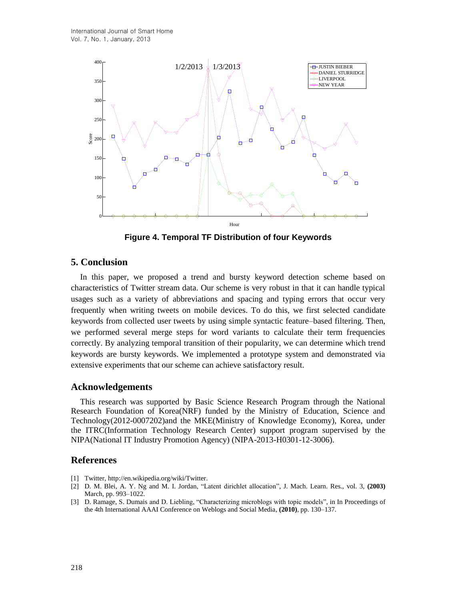

**Figure 4. Temporal TF Distribution of four Keywords**

# **5. Conclusion**

In this paper, we proposed a trend and bursty keyword detection scheme based on characteristics of Twitter stream data. Our scheme is very robust in that it can handle typical usages such as a variety of abbreviations and spacing and typing errors that occur very frequently when writing tweets on mobile devices. To do this, we first selected candidate keywords from collected user tweets by using simple syntactic feature–based filtering. Then, we performed several merge steps for word variants to calculate their term frequencies correctly. By analyzing temporal transition of their popularity, we can determine which trend keywords are bursty keywords. We implemented a prototype system and demonstrated via extensive experiments that our scheme can achieve satisfactory result.

### **Acknowledgements**

This research was supported by Basic Science Research Program through the National Research Foundation of Korea(NRF) funded by the Ministry of Education, Science and Technology(2012-0007202)and the MKE(Ministry of Knowledge Economy), Korea, under the ITRC(Information Technology Research Center) support program supervised by the NIPA(National IT Industry Promotion Agency) (NIPA-2013-H0301-12-3006).

### **References**

- [1] Twitter, http://en.wikipedia.org/wiki/Twitter.
- [2] D. M. Blei, A. Y. Ng and M. I. Jordan, "Latent dirichlet allocation", J. Mach. Learn. Res., vol. 3, **(2003)** March, pp. 993–1022.
- [3] D. Ramage, S. Dumais and D. Liebling, "Characterizing microblogs with topic models", in In Proceedings of the 4th International AAAI Conference on Weblogs and Social Media, **(2010)**, pp. 130–137.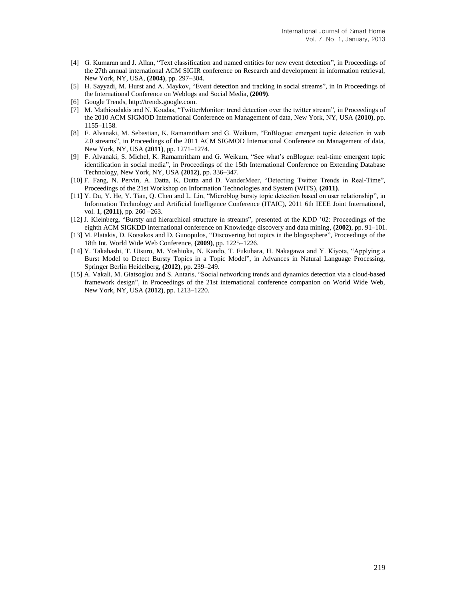- [4] G. Kumaran and J. Allan, "Text classification and named entities for new event detection", in Proceedings of the 27th annual international ACM SIGIR conference on Research and development in information retrieval, New York, NY, USA, **(2004)**, pp. 297–304.
- [5] H. Sayyadi, M. Hurst and A. Maykov, "Event detection and tracking in social streams", in In Proceedings of the International Conference on Weblogs and Social Media, **(2009)**.
- <span id="page-10-0"></span>[6] Google Trends, http://trends.google.com.
- [7] M. Mathioudakis and N. Koudas, "TwitterMonitor: trend detection over the twitter stream", in Proceedings of the 2010 ACM SIGMOD International Conference on Management of data, New York, NY, USA **(2010)**, pp. 1155–1158.
- [8] F. Alvanaki, M. Sebastian, K. Ramamritham and G. Weikum, "EnBlogue: emergent topic detection in web 2.0 streams", in Proceedings of the 2011 ACM SIGMOD International Conference on Management of data, New York, NY, USA **(2011)**, pp. 1271–1274.
- [9] F. Alvanaki, S. Michel, K. Ramamritham and G. Weikum, "See what's enBlogue: real-time emergent topic identification in social media", in Proceedings of the 15th International Conference on Extending Database Technology, New York, NY, USA **(2012)**, pp. 336–347.
- [10] F. Fang, N. Pervin, A. Datta, K. Dutta and D. VanderMeer, "Detecting Twitter Trends in Real-Time", Proceedings of the 21st Workshop on Information Technologies and System (WITS), **(2011)**.
- [11] Y. Du, Y. He, Y. Tian, Q. Chen and L. Lin, "Microblog bursty topic detection based on user relationship", in Information Technology and Artificial Intelligence Conference (ITAIC), 2011 6th IEEE Joint International, vol. 1, **(2011)**, pp. 260 –263.
- [12] J. Kleinberg, "Bursty and hierarchical structure in streams", presented at the KDD '02: Proceedings of the eighth ACM SIGKDD international conference on Knowledge discovery and data mining, **(2002)**, pp. 91–101.
- [13] M. Platakis, D. Kotsakos and D. Gunopulos, "Discovering hot topics in the blogosphere", Proceedings of the 18th Int. World Wide Web Conference, **(2009)**, pp. 1225–1226.
- [14] Y. Takahashi, T. Utsuro, M. Yoshioka, N. Kando, T. Fukuhara, H. Nakagawa and Y. Kiyota, "Applying a Burst Model to Detect Bursty Topics in a Topic Model", in Advances in Natural Language Processing, Springer Berlin Heidelberg, **(2012)**, pp. 239–249.
- [15] A. Vakali, M. Giatsoglou and S. Antaris, "Social networking trends and dynamics detection via a cloud-based framework design", in Proceedings of the 21st international conference companion on World Wide Web, New York, NY, USA **(2012)**, pp. 1213–1220.